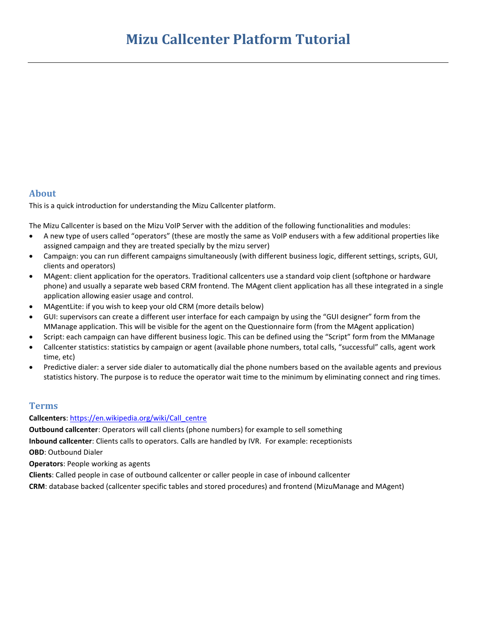### **About**

This is a quick introduction for understanding the Mizu Callcenter platform.

The Mizu Callcenter is based on the Mizu VoIP Server with the addition of the following functionalities and modules:

- A new type of users called "operators" (these are mostly the same as VoIP endusers with a few additional properties like assigned campaign and they are treated specially by the mizu server)
- Campaign: you can run different campaigns simultaneously (with different business logic, different settings, scripts, GUI, clients and operators)
- MAgent: client application for the operators. Traditional callcenters use a standard voip client (softphone or hardware phone) and usually a separate web based CRM frontend. The MAgent client application has all these integrated in a single application allowing easier usage and control.
- MAgentLite: if you wish to keep your old CRM (more details below)
- GUI: supervisors can create a different user interface for each campaign by using the "GUI designer" form from the MManage application. This will be visible for the agent on the Questionnaire form (from the MAgent application)
- Script: each campaign can have different business logic. This can be defined using the "Script" form from the MManage
- Callcenter statistics: statistics by campaign or agent (available phone numbers, total calls, "successful" calls, agent work time, etc)
- Predictive dialer: a server side dialer to automatically dial the phone numbers based on the available agents and previous statistics history. The purpose is to reduce the operator wait time to the minimum by eliminating connect and ring times.

### **Terms**

#### **Callcenters**[: https://en.wikipedia.org/wiki/Call\\_centre](https://en.wikipedia.org/wiki/Call_centre)

**Outbound callcenter**: Operators will call clients (phone numbers) for example to sell something **Inbound callcenter**: Clients calls to operators. Calls are handled by IVR. For example: receptionists **OBD**: Outbound Dialer

**Operators**: People working as agents

**Clients**: Called people in case of outbound callcenter or caller people in case of inbound callcenter

**CRM**: database backed (callcenter specific tables and stored procedures) and frontend (MizuManage and MAgent)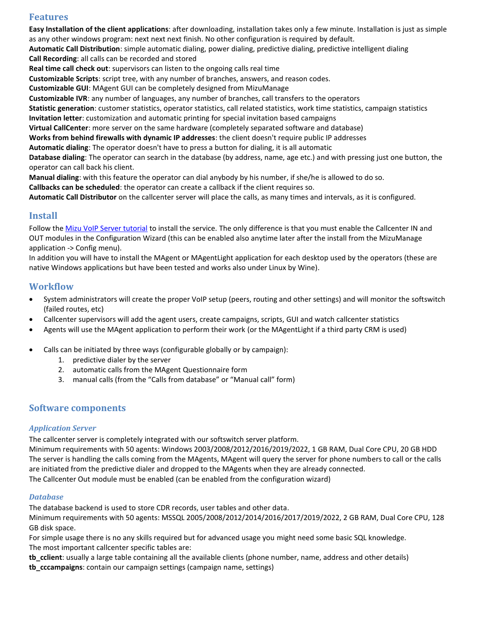## **Features**

**Easy Installation of the client applications**: after downloading, installation takes only a few minute. Installation is just as simple as any other windows program: next next next finish. No other configuration is required by default.

**Automatic Call Distribution**: simple automatic dialing, power dialing, predictive dialing, predictive intelligent dialing **Call Recording**: all calls can be recorded and stored

**Real time call check out**: supervisors can listen to the ongoing calls real time

**Customizable Scripts**: script tree, with any number of branches, answers, and reason codes.

**Customizable GUI**: MAgent GUI can be completely designed from MizuManage

**Customizable IVR**: any number of languages, any number of branches, call transfers to the operators

**Statistic generation**: customer statistics, operator statistics, call related statistics, work time statistics, campaign statistics **Invitation letter**: customization and automatic printing for special invitation based campaigns

**Virtual CallCenter**: more server on the same hardware (completely separated software and database)

**Works from behind firewalls with dynamic IP addresses**: the client doesn't require public IP addresses

**Automatic dialing**: The operator doesn't have to press a button for dialing, it is all automatic

**Database dialing**: The operator can search in the database (by address, name, age etc.) and with pressing just one button, the operator can call back his client.

**Manual dialing**: with this feature the operator can dial anybody by his number, if she/he is allowed to do so.

**Callbacks can be scheduled**: the operator can create a callback if the client requires so.

**Automatic Call Distributor** on the callcenter server will place the calls, as many times and intervals, as it is configured.

## **Install**

Follow the [Mizu VoIP Server tutorial](https://www.mizu-voip.com/Portals/0/Files/mizu_voip_server_tutorial.pdf) to install the service. The only difference is that you must enable the Callcenter IN and OUT modules in the Configuration Wizard (this can be enabled also anytime later after the install from the MizuManage application -> Config menu).

In addition you will have to install the MAgent or MAgentLight application for each desktop used by the operators (these are native Windows applications but have been tested and works also under Linux by Wine).

## **Workflow**

- System administrators will create the proper VoIP setup (peers, routing and other settings) and will monitor the softswitch (failed routes, etc)
- Callcenter supervisors will add the agent users, create campaigns, scripts, GUI and watch callcenter statistics
- Agents will use the MAgent application to perform their work (or the MAgentLight if a third party CRM is used)
- Calls can be initiated by three ways (configurable globally or by campaign):
	- 1. predictive dialer by the server
	- 2. automatic calls from the MAgent Questionnaire form
	- 3. manual calls (from the "Calls from database" or "Manual call" form)

## **Software components**

#### *Application Server*

The callcenter server is completely integrated with our softswitch server platform.

Minimum requirements with 50 agents: Windows 2003/2008/2012/2016/2019/2022, 1 GB RAM, Dual Core CPU, 20 GB HDD The server is handling the calls coming from the MAgents, MAgent will query the server for phone numbers to call or the calls are initiated from the predictive dialer and dropped to the MAgents when they are already connected. The Callcenter Out module must be enabled (can be enabled from the configuration wizard)

#### *Database*

The database backend is used to store CDR records, user tables and other data.

Minimum requirements with 50 agents: MSSQL 2005/2008/2012/2014/2016/2017/2019/2022, 2 GB RAM, Dual Core CPU, 128 GB disk space.

For simple usage there is no any skills required but for advanced usage you might need some basic SQL knowledge. The most important callcenter specific tables are:

**tb\_cclient**: usually a large table containing all the available clients (phone number, name, address and other details)

**tb\_cccampaigns**: contain our campaign settings (campaign name, settings)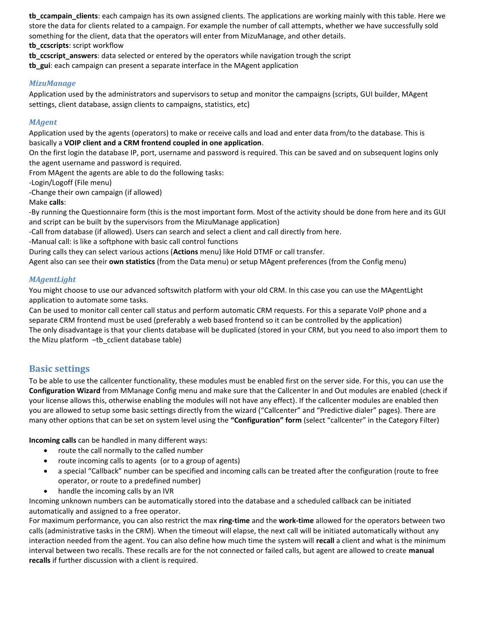**tb\_ccampain\_clients**: each campaign has its own assigned clients. The applications are working mainly with this table. Here we store the data for clients related to a campaign. For example the number of call attempts, whether we have successfully sold something for the client, data that the operators will enter from MizuManage, and other details.

**tb\_ccscripts**: script workflow

**tb** ccscript answers: data selected or entered by the operators while navigation trough the script

**tb\_gui**: each campaign can present a separate interface in the MAgent application

#### *MizuManage*

Application used by the administrators and supervisors to setup and monitor the campaigns (scripts, GUI builder, MAgent settings, client database, assign clients to campaigns, statistics, etc)

#### *MAgent*

Application used by the agents (operators) to make or receive calls and load and enter data from/to the database. This is basically a **VOIP client and a CRM frontend coupled in one application**.

On the first login the database IP, port, username and password is required. This can be saved and on subsequent logins only the agent username and password is required.

From MAgent the agents are able to do the following tasks:

-Login/Logoff (File menu)

-Change their own campaign (if allowed)

Make **calls**:

-By running the Questionnaire form (this is the most important form. Most of the activity should be done from here and its GUI and script can be built by the supervisors from the MizuManage application)

-Call from database (if allowed). Users can search and select a client and call directly from here.

-Manual call: is like a softphone with basic call control functions

During calls they can select various actions (**Actions** menu) like Hold DTMF or call transfer.

Agent also can see their **own statistics** (from the Data menu) or setup MAgent preferences (from the Config menu)

#### *MAgentLight*

You might choose to use our advanced softswitch platform with your old CRM. In this case you can use the MAgentLight application to automate some tasks.

Can be used to monitor call center call status and perform automatic CRM requests. For this a separate VoIP phone and a separate CRM frontend must be used (preferably a web based frontend so it can be controlled by the application) The only disadvantage is that your clients database will be duplicated (stored in your CRM, but you need to also import them to the Mizu platform –tb\_cclient database table)

### **Basic settings**

To be able to use the callcenter functionality, these modules must be enabled first on the server side. For this, you can use the **Configuration Wizard** from MManage Config menu and make sure that the Callcenter In and Out modules are enabled (check if your license allows this, otherwise enabling the modules will not have any effect). If the callcenter modules are enabled then you are allowed to setup some basic settings directly from the wizard ("Callcenter" and "Predictive dialer" pages). There are many other options that can be set on system level using the **"Configuration" form** (select "callcenter" in the Category Filter)

**Incoming calls** can be handled in many different ways:

- route the call normally to the called number
- route incoming calls to agents (or to a group of agents)
- a special "Callback" number can be specified and incoming calls can be treated after the configuration (route to free operator, or route to a predefined number)
- handle the incoming calls by an IVR

Incoming unknown numbers can be automatically stored into the database and a scheduled callback can be initiated automatically and assigned to a free operator.

For maximum performance, you can also restrict the max **ring-time** and the **work-time** allowed for the operators between two calls (administrative tasks in the CRM). When the timeout will elapse, the next call will be initiated automatically without any interaction needed from the agent. You can also define how much time the system will **recall** a client and what is the minimum interval between two recalls. These recalls are for the not connected or failed calls, but agent are allowed to create **manual recalls** if further discussion with a client is required.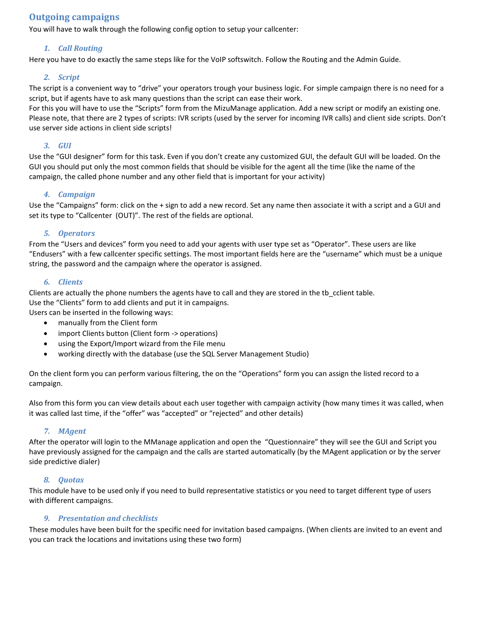## **Outgoing campaigns**

You will have to walk through the following config option to setup your callcenter:

#### *1. Call Routing*

Here you have to do exactly the same steps like for the VoIP softswitch. Follow the Routing and the Admin Guide.

#### *2. Script*

The script is a convenient way to "drive" your operators trough your business logic. For simple campaign there is no need for a script, but if agents have to ask many questions than the script can ease their work.

For this you will have to use the "Scripts" form from the MizuManage application. Add a new script or modify an existing one. Please note, that there are 2 types of scripts: IVR scripts (used by the server for incoming IVR calls) and client side scripts. Don't use server side actions in client side scripts!

#### *3. GUI*

Use the "GUI designer" form for this task. Even if you don't create any customized GUI, the default GUI will be loaded. On the GUI you should put only the most common fields that should be visible for the agent all the time (like the name of the campaign, the called phone number and any other field that is important for your activity)

#### *4. Campaign*

Use the "Campaigns" form: click on the + sign to add a new record. Set any name then associate it with a script and a GUI and set its type to "Callcenter (OUT)". The rest of the fields are optional.

#### *5. Operators*

From the "Users and devices" form you need to add your agents with user type set as "Operator". These users are like "Endusers" with a few callcenter specific settings. The most important fields here are the "username" which must be a unique string, the password and the campaign where the operator is assigned.

#### *6. Clients*

Clients are actually the phone numbers the agents have to call and they are stored in the tb\_cclient table. Use the "Clients" form to add clients and put it in campaigns. Users can be inserted in the following ways:

manually from the Client form

- import Clients button (Client form -> operations)
- using the Export/Import wizard from the File menu
- working directly with the database (use the SQL Server Management Studio)

On the client form you can perform various filtering, the on the "Operations" form you can assign the listed record to a campaign.

Also from this form you can view details about each user together with campaign activity (how many times it was called, when it was called last time, if the "offer" was "accepted" or "rejected" and other details)

### *7. MAgent*

After the operator will login to the MManage application and open the "Questionnaire" they will see the GUI and Script you have previously assigned for the campaign and the calls are started automatically (by the MAgent application or by the server side predictive dialer)

#### *8. Quotas*

This module have to be used only if you need to build representative statistics or you need to target different type of users with different campaigns.

#### *9. Presentation and checklists*

These modules have been built for the specific need for invitation based campaigns. (When clients are invited to an event and you can track the locations and invitations using these two form)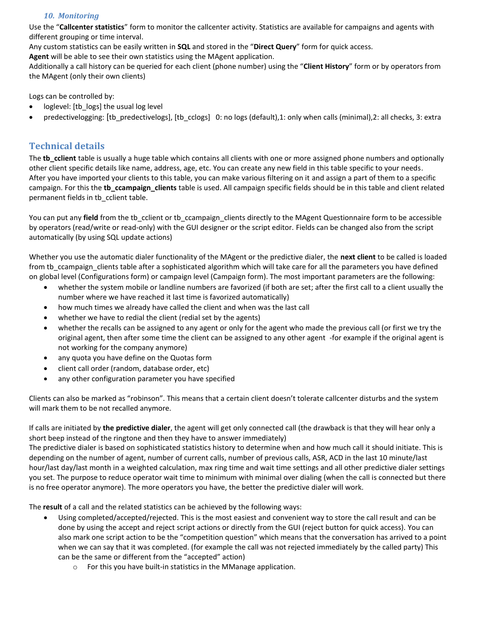### *10. Monitoring*

Use the "**Callcenter statistics**" form to monitor the callcenter activity. Statistics are available for campaigns and agents with different grouping or time interval.

Any custom statistics can be easily written in **SQL** and stored in the "**Direct Query**" form for quick access.

**Agent** will be able to see their own statistics using the MAgent application.

Additionally a call history can be queried for each client (phone number) using the "**Client History**" form or by operators from the MAgent (only their own clients)

Logs can be controlled by:

- loglevel: [tb\_logs] the usual log level
- predectivelogging: [tb\_predectivelogs], [tb\_cclogs] 0: no logs (default),1: only when calls (minimal),2: all checks, 3: extra

# **Technical details**

The **tb** cclient table is usually a huge table which contains all clients with one or more assigned phone numbers and optionally other client specific details like name, address, age, etc. You can create any new field in this table specific to your needs. After you have imported your clients to this table, you can make various filtering on it and assign a part of them to a specific campaign. For this the **tb ccampaign clients** table is used. All campaign specific fields should be in this table and client related permanent fields in tb\_cclient table.

You can put any **field** from the tb\_cclient or tb\_ccampaign\_clients directly to the MAgent Questionnaire form to be accessible by operators (read/write or read-only) with the GUI designer or the script editor. Fields can be changed also from the script automatically (by using SQL update actions)

Whether you use the automatic dialer functionality of the MAgent or the predictive dialer, the **next client** to be called is loaded from tb\_ccampaign\_clients table after a sophisticated algorithm which will take care for all the parameters you have defined on global level (Configurations form) or campaign level (Campaign form). The most important parameters are the following:

- whether the system mobile or landline numbers are favorized (if both are set; after the first call to a client usually the number where we have reached it last time is favorized automatically)
- how much times we already have called the client and when was the last call
- whether we have to redial the client (redial set by the agents)
- whether the recalls can be assigned to any agent or only for the agent who made the previous call (or first we try the original agent, then after some time the client can be assigned to any other agent -for example if the original agent is not working for the company anymore)
- any quota you have define on the Quotas form
- client call order (random, database order, etc)
- any other configuration parameter you have specified

Clients can also be marked as "robinson". This means that a certain client doesn't tolerate callcenter disturbs and the system will mark them to be not recalled anymore.

If calls are initiated by **the predictive dialer**, the agent will get only connected call (the drawback is that they will hear only a short beep instead of the ringtone and then they have to answer immediately)

The predictive dialer is based on sophisticated statistics history to determine when and how much call it should initiate. This is depending on the number of agent, number of current calls, number of previous calls, ASR, ACD in the last 10 minute/last hour/last day/last month in a weighted calculation, max ring time and wait time settings and all other predictive dialer settings you set. The purpose to reduce operator wait time to minimum with minimal over dialing (when the call is connected but there is no free operator anymore). The more operators you have, the better the predictive dialer will work.

The **result** of a call and the related statistics can be achieved by the following ways:

- Using completed/accepted/rejected. This is the most easiest and convenient way to store the call result and can be done by using the accept and reject script actions or directly from the GUI (reject button for quick access). You can also mark one script action to be the "competition question" which means that the conversation has arrived to a point when we can say that it was completed. (for example the call was not rejected immediately by the called party) This can be the same or different from the "accepted" action)
	- o For this you have built-in statistics in the MManage application.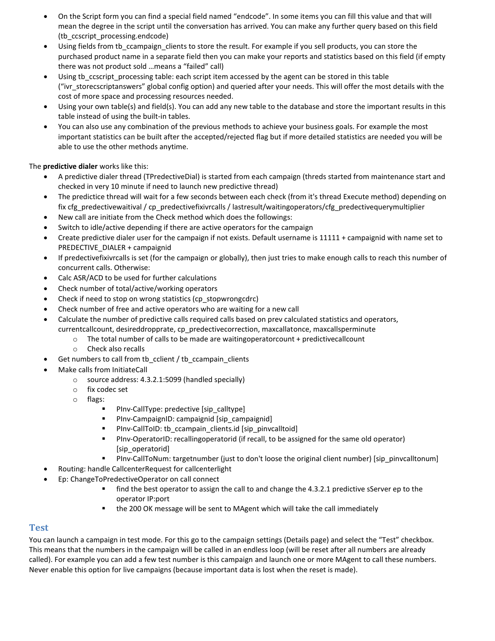- On the Script form you can find a special field named "endcode". In some items you can fill this value and that will mean the degree in the script until the conversation has arrived. You can make any further query based on this field (tb\_ccscript\_processing.endcode)
- Using fields from tb ccampaign clients to store the result. For example if you sell products, you can store the purchased product name in a separate field then you can make your reports and statistics based on this field (if empty there was not product sold …means a "failed" call)
- Using tb ccscript processing table: each script item accessed by the agent can be stored in this table ("ivr\_storecscriptanswers" global config option) and queried after your needs. This will offer the most details with the cost of more space and processing resources needed.
- Using your own table(s) and field(s). You can add any new table to the database and store the important results in this table instead of using the built-in tables.
- You can also use any combination of the previous methods to achieve your business goals. For example the most important statistics can be built after the accepted/rejected flag but if more detailed statistics are needed you will be able to use the other methods anytime.

The **predictive dialer** works like this:

- A predictive dialer thread (TPredectiveDial) is started from each campaign (threds started from maintenance start and checked in very 10 minute if need to launch new predictive thread)
- The predictice thread will wait for a few seconds between each check (from it's thread Execute method) depending on fix cfg\_predectivewaitival / cp\_predectivefixivrcalls / lastresult/waitingoperators/cfg\_predectivequerymultiplier
- New call are initiate from the Check method which does the followings:
- Switch to idle/active depending if there are active operators for the campaign
- Create predictive dialer user for the campaign if not exists. Default username is 11111 + campaignid with name set to PREDECTIVE\_DIALER + campaignid
- If predectivefixivrcalls is set (for the campaign or globally), then just tries to make enough calls to reach this number of concurrent calls. Otherwise:
- Calc ASR/ACD to be used for further calculations
- Check number of total/active/working operators
- Check if need to stop on wrong statistics (cp\_stopwrongcdrc)
- Check number of free and active operators who are waiting for a new call
- Calculate the number of predictive calls required calls based on prev calculated statistics and operators, currentcallcount, desireddropprate, cp\_predectivecorrection, maxcallatonce, maxcallsperminute
	- $\circ$  The total number of calls to be made are waitingoperatorcount + predictivecallcount
	- o Check also recalls
- Get numbers to call from tb\_cclient / tb\_ccampain\_clients
	- Make calls from InitiateCall
		- o source address: 4.3.2.1:5099 (handled specially)
		- o fix codec set
		- o flags:
			- **PInv-CallType: predective [sip\_calltype]**
			- **PInv-CampaignID: campaignid [sip\_campaignid]**
			- **PInv-CallToID: tb\_ccampain\_clients.id [sip\_pinvcalltoid]**
			- PInv-OperatorID: recallingoperatorid (if recall, to be assigned for the same old operator) [sip\_operatorid]
			- PInv-CallToNum: targetnumber (just to don't loose the original client number) [sip\_pinvcalltonum]
- Routing: handle CallcenterRequest for callcenterlight
- Ep: ChangeToPredectiveOperator on call connect
	- **find the best operator to assign the call to and change the 4.3.2.1 predictive sServer ep to the** operator IP:port
	- the 200 OK message will be sent to MAgent which will take the call immediately

## **Test**

You can launch a campaign in test mode. For this go to the campaign settings (Details page) and select the "Test" checkbox. This means that the numbers in the campaign will be called in an endless loop (will be reset after all numbers are already called). For example you can add a few test number is this campaign and launch one or more MAgent to call these numbers. Never enable this option for live campaigns (because important data is lost when the reset is made).